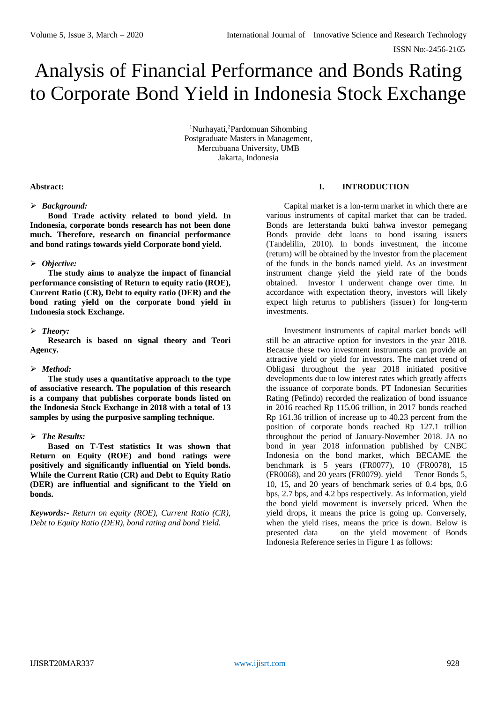# Analysis of Financial Performance and Bonds Rating to Corporate Bond Yield in Indonesia Stock Exchange

<sup>1</sup>Nurhayati,<sup>2</sup>Pardomuan Sihombing Postgraduate Masters in Management, Mercubuana University, UMB Jakarta, Indonesia

#### **Abstract:**

## *Background:*

**Bond Trade activity related to bond yield. In Indonesia, corporate bonds research has not been done much. Therefore, research on financial performance and bond ratings towards yield Corporate bond yield.** 

## *Objective:*

**The study aims to analyze the impact of financial performance consisting of Return to equity ratio (ROE), Current Ratio (CR), Debt to equity ratio (DER) and the bond rating yield on the corporate bond yield in Indonesia stock Exchange.** 

## *Theory:*

**Research is based on signal theory and Teori Agency.** 

#### *Method:*

**The study uses a quantitative approach to the type of associative research. The population of this research is a company that publishes corporate bonds listed on the Indonesia Stock Exchange in 2018 with a total of 13 samples by using the purposive sampling technique.** 

#### *The Results:*

**Based on T-Test statistics It was shown that Return on Equity (ROE) and bond ratings were positively and significantly influential on Yield bonds. While the Current Ratio (CR) and Debt to Equity Ratio (DER) are influential and significant to the Yield on bonds.**

*Keywords:- Return on equity (ROE), Current Ratio (CR), Debt to Equity Ratio (DER), bond rating and bond Yield.*

# **I. INTRODUCTION**

Capital market is a lon-term market in which there are various instruments of capital market that can be traded. Bonds are letterstanda bukti bahwa investor pemegang Bonds provide debt loans to bond issuing issuers (Tandelilin, 2010). In bonds investment, the income (return) will be obtained by the investor from the placement of the funds in the bonds named yield. As an investment instrument change yield the yield rate of the bonds obtained. Investor I underwent change over time. In accordance with expectation theory, investors will likely expect high returns to publishers (issuer) for long-term investments.

Investment instruments of capital market bonds will still be an attractive option for investors in the year 2018. Because these two investment instruments can provide an attractive yield or yield for investors. The market trend of Obligasi throughout the year 2018 initiated positive developments due to low interest rates which greatly affects the issuance of corporate bonds. PT Indonesian Securities Rating (Pefindo) recorded the realization of bond issuance in 2016 reached Rp 115.06 trillion, in 2017 bonds reached Rp 161.36 trillion of increase up to 40.23 percent from the position of corporate bonds reached Rp 127.1 trillion throughout the period of January-November 2018. JA no bond in year 2018 information published by CNBC Indonesia on the bond market, which BECAME the benchmark is 5 years (FR0077), 10 (FR0078), 15 (FR0068), and 20 years (FR0079). yield Tenor Bonds 5, 10, 15, and 20 years of benchmark series of 0.4 bps, 0.6 bps, 2.7 bps, and 4.2 bps respectively. As information, yield the bond yield movement is inversely priced. When the yield drops, it means the price is going up. Conversely, when the yield rises, means the price is down. Below is presented data on the yield movement of Bonds Indonesia Reference series in Figure 1 as follows: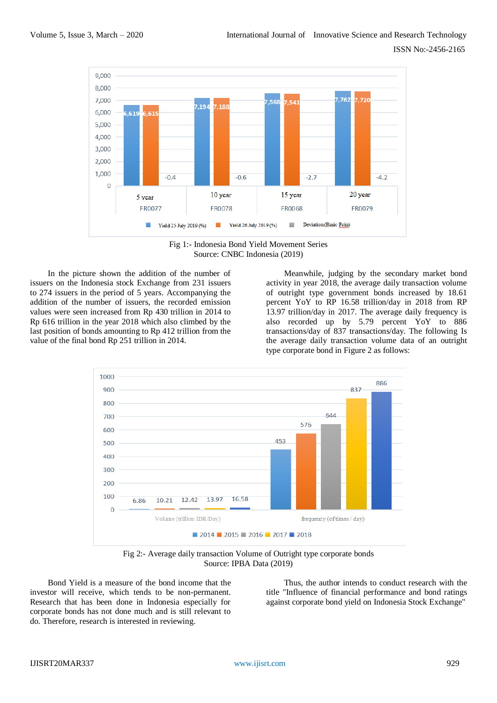

Fig 1:- Indonesia Bond Yield Movement Series Source: CNBC Indonesia (2019)

In the picture shown the addition of the number of issuers on the Indonesia stock Exchange from 231 issuers to 274 issuers in the period of 5 years. Accompanying the addition of the number of issuers, the recorded emission values were seen increased from Rp 430 trillion in 2014 to Rp 616 trillion in the year 2018 which also climbed by the last position of bonds amounting to Rp 412 trillion from the value of the final bond Rp 251 trillion in 2014.

Meanwhile, judging by the secondary market bond activity in year 2018, the average daily transaction volume of outright type government bonds increased by 18.61 percent YoY to RP 16.58 trillion/day in 2018 from RP 13.97 trillion/day in 2017. The average daily frequency is also recorded up by 5.79 percent YoY to 886 transactions/day of 837 transactions/day. The following Is the average daily transaction volume data of an outright type corporate bond in Figure 2 as follows:



Fig 2:- Average daily transaction Volume of Outright type corporate bonds Source: IPBA Data (2019)

Bond Yield is a measure of the bond income that the investor will receive, which tends to be non-permanent. Research that has been done in Indonesia especially for corporate bonds has not done much and is still relevant to do. Therefore, research is interested in reviewing.

Thus, the author intends to conduct research with the title "Influence of financial performance and bond ratings against corporate bond yield on Indonesia Stock Exchange"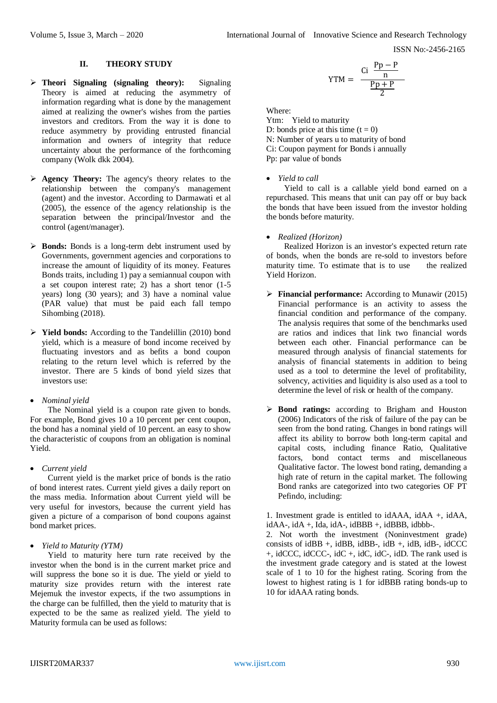## **II. THEORY STUDY**

- **Theori Signaling (signaling theory):** Signaling Theory is aimed at reducing the asymmetry of information regarding what is done by the management aimed at realizing the owner's wishes from the parties investors and creditors. From the way it is done to reduce asymmetry by providing entrusted financial information and owners of integrity that reduce uncertainty about the performance of the forthcoming company (Wolk dkk 2004).
- **Agency Theory:** The agency's theory relates to the relationship between the company's management (agent) and the investor. According to Darmawati et al (2005), the essence of the agency relationship is the separation between the principal/Investor and the control (agent/manager).
- **Bonds:** Bonds is a long-term debt instrument used by Governments, government agencies and corporations to increase the amount of liquidity of its money. Features Bonds traits, including 1) pay a semiannual coupon with a set coupon interest rate; 2) has a short tenor (1-5 years) long (30 years); and 3) have a nominal value (PAR value) that must be paid each fall tempo Sihombing (2018).
- **Yield bonds:** According to the Tandelillin (2010) bond yield, which is a measure of bond income received by fluctuating investors and as befits a bond coupon relating to the return level which is referred by the investor. There are 5 kinds of bond yield sizes that investors use:
- *Nominal yield*

The Nominal yield is a coupon rate given to bonds. For example, Bond gives 10 a 10 percent per cent coupon, the bond has a nominal yield of 10 percent. an easy to show the characteristic of coupons from an obligation is nominal Yield.

*Current yield*

Current yield is the market price of bonds is the ratio of bond interest rates. Current yield gives a daily report on the mass media. Information about Current yield will be very useful for investors, because the current yield has given a picture of a comparison of bond coupons against bond market prices.

*Yield to Maturity (YTM)*

Yield to maturity here turn rate received by the investor when the bond is in the current market price and will suppress the bone so it is due. The yield or yield to maturity size provides return with the interest rate Mejemuk the investor expects, if the two assumptions in the charge can be fulfilled, then the yield to maturity that is expected to be the same as realized yield. The yield to Maturity formula can be used as follows:

$$
YTM = \frac{Ci \frac{Pp - P}{n}}{\frac{Pp + P}{2}}
$$

Where:

Ytm: Yield to maturity D: bonds price at this time  $(t = 0)$ N: Number of years u to maturity of bond Ci: Coupon payment for Bonds i annually Pp: par value of bonds

## *Yield to call*

Yield to call is a callable yield bond earned on a repurchased. This means that unit can pay off or buy back the bonds that have been issued from the investor holding the bonds before maturity.

*Realized (Horizon)*

Realized Horizon is an investor's expected return rate of bonds, when the bonds are re-sold to investors before maturity time. To estimate that is to use the realized Yield Horizon.

- **Financial performance:** According to Munawir (2015) Financial performance is an activity to assess the financial condition and performance of the company. The analysis requires that some of the benchmarks used are ratios and indices that link two financial words between each other. Financial performance can be measured through analysis of financial statements for analysis of financial statements in addition to being used as a tool to determine the level of profitability, solvency, activities and liquidity is also used as a tool to determine the level of risk or health of the company.
- **Bond ratings:** according to Brigham and Houston (2006) Indicators of the risk of failure of the pay can be seen from the bond rating. Changes in bond ratings will affect its ability to borrow both long-term capital and capital costs, including finance Ratio, Qualitative factors, bond contact terms and miscellaneous Qualitative factor. The lowest bond rating, demanding a high rate of return in the capital market. The following Bond ranks are categorized into two categories OF PT Pefindo, including:

1. Investment grade is entitled to idAAA, idAA +, idAA,  $idAA$ -,  $idA$  +,  $Ida$ ,  $idA$ -,  $idBBB$  +,  $idBBB$ ,  $idbbb-$ .

2. Not worth the investment (Noninvestment grade) consists of  $idBB +$ ,  $idBB$ ,  $idBB -$ ,  $idB +$ ,  $idB$ ,  $idB -$ ,  $idCCC$ +, idCCC, idCCC-, idC +, idC, idC-, idD. The rank used is the investment grade category and is stated at the lowest scale of 1 to 10 for the highest rating. Scoring from the lowest to highest rating is 1 for idBBB rating bonds-up to 10 for idAAA rating bonds.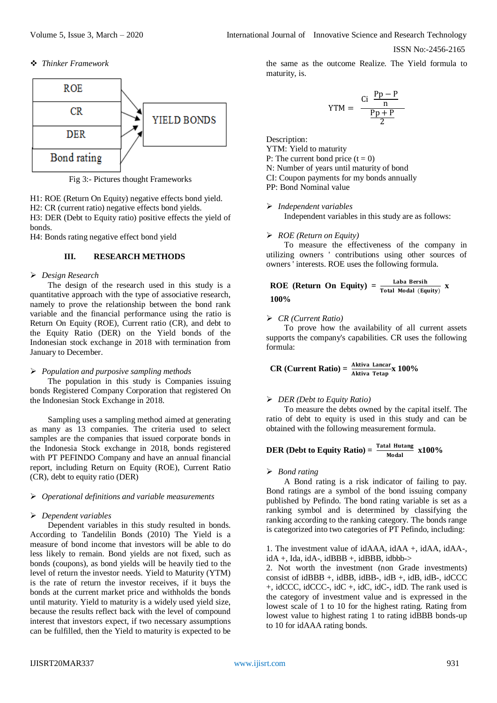ISSN No:-2456-2165

#### *Thinker Framework*



Fig 3:- Pictures thought Frameworks

H1: ROE (Return On Equity) negative effects bond yield. H2: CR (current ratio) negative effects bond yields. H3: DER (Debt to Equity ratio) positive effects the yield of bonds.

H4: Bonds rating negative effect bond yield

### **III. RESEARCH METHODS**

#### *Design Research*

The design of the research used in this study is a quantitative approach with the type of associative research, namely to prove the relationship between the bond rank variable and the financial performance using the ratio is Return On Equity (ROE), Current ratio (CR), and debt to the Equity Ratio (DER) on the Yield bonds of the Indonesian stock exchange in 2018 with termination from January to December.

#### *Population and purposive sampling methods*

The population in this study is Companies issuing bonds Registered Company Corporation that registered On the Indonesian Stock Exchange in 2018.

Sampling uses a sampling method aimed at generating as many as 13 companies. The criteria used to select samples are the companies that issued corporate bonds in the Indonesia Stock exchange in 2018, bonds registered with PT PEFINDO Company and have an annual financial report, including Return on Equity (ROE), Current Ratio (CR), debt to equity ratio (DER)

#### *Operational definitions and variable measurements*

### *Dependent variables*

Dependent variables in this study resulted in bonds. According to Tandelilin Bonds (2010) The Yield is a measure of bond income that investors will be able to do less likely to remain. Bond yields are not fixed, such as bonds (coupons), as bond yields will be heavily tied to the level of return the investor needs. Yield to Maturity (YTM) is the rate of return the investor receives, if it buys the bonds at the current market price and withholds the bonds until maturity. Yield to maturity is a widely used yield size, because the results reflect back with the level of compound interest that investors expect, if two necessary assumptions can be fulfilled, then the Yield to maturity is expected to be

the same as the outcome Realize. The Yield formula to maturity, is.

$$
YTM = \frac{Ci \frac{Pp - P}{n}}{\frac{Pp + P}{2}}
$$

Description:

YTM: Yield to maturity

P: The current bond price  $(t = 0)$ 

N: Number of years until maturity of bond

CI: Coupon payments for my bonds annually

PP: Bond Nominal value

 *Independent variables* Independent variables in this study are as follows:

#### *ROE (Return on Equity)*

To measure the effectiveness of the company in utilizing owners ' contributions using other sources of owners ' interests. ROE uses the following formula.

**ROE (Return On Equity)** = 
$$
\frac{\text{Laba Bersih}}{\text{Total Modal (Equity)}}
$$
 x 100%

#### *CR (Current Ratio)*

To prove how the availability of all current assets supports the company's capabilities. CR uses the following formula:

$$
CR (Current Ratio) = \frac{Aktiva Lancar}{Aktiva Tetap} \times 100\%
$$

#### *DER (Debt to Equity Ratio)*

To measure the debts owned by the capital itself. The ratio of debt to equity is used in this study and can be obtained with the following measurement formula.

DER (Debt to Equity Ratio) = 
$$
\frac{\text{Total Hutang}}{\text{Modal}} \times 100\%
$$

#### *Bond rating*

A Bond rating is a risk indicator of failing to pay. Bond ratings are a symbol of the bond issuing company published by Pefindo. The bond rating variable is set as a ranking symbol and is determined by classifying the ranking according to the ranking category. The bonds range is categorized into two categories of PT Pefindo, including:

1. The investment value of idAAA, idAA +, idAA, idAA-,  $idA +$ , Ida,  $idA$ -,  $idBBB +$ ,  $idBBB$ ,  $idbbb$ 

2. Not worth the investment (non Grade investments) consist of idBBB +, idBB, idBB-, idB +, idB, idB-, idCCC +, idCCC, idCCC-, idC +, idC, idC-, idD. The rank used is the category of investment value and is expressed in the lowest scale of 1 to 10 for the highest rating. Rating from lowest value to highest rating 1 to rating idBBB bonds-up to 10 for idAAA rating bonds.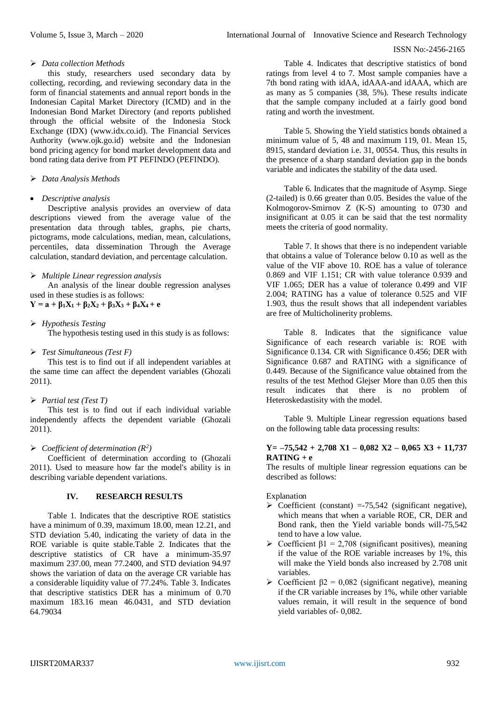## *Data collection Methods*

this study, researchers used secondary data by collecting, recording, and reviewing secondary data in the form of financial statements and annual report bonds in the Indonesian Capital Market Directory (ICMD) and in the Indonesian Bond Market Directory (and reports published through the official website of the Indonesia Stock Exchange (IDX) (www.idx.co.id). The Financial Services Authority (www.ojk.go.id) website and the Indonesian bond pricing agency for bond market development data and bond rating data derive from PT PEFINDO (PEFINDO).

## *Data Analysis Methods*

## *Descriptive analysis*

Descriptive analysis provides an overview of data descriptions viewed from the average value of the presentation data through tables, graphs, pie charts, pictograms, mode calculations, median, mean, calculations, percentiles, data dissemination Through the Average calculation, standard deviation, and percentage calculation.

## *Multiple Linear regression analysis*

An analysis of the linear double regression analyses used in these studies is as follows:

# $Y = a + \beta_1 X_1 + \beta_2 X_2 + \beta_3 X_3 + \beta_4 X_4 + e$

# *Hypothesis Testing*

The hypothesis testing used in this study is as follows:

## *Test Simultaneous (Test F)*

This test is to find out if all independent variables at the same time can affect the dependent variables (Ghozali 2011).

## *Partial test (Test T)*

This test is to find out if each individual variable independently affects the dependent variable (Ghozali 2011).

## $\triangleright$  *Coefficient of determination*  $(R^2)$

Coefficient of determination according to (Ghozali 2011). Used to measure how far the model's ability is in describing variable dependent variations.

# **IV. RESEARCH RESULTS**

Table 1. Indicates that the descriptive ROE statistics have a minimum of 0.39, maximum 18.00, mean 12.21, and STD deviation 5.40, indicating the variety of data in the ROE variable is quite stable.Table 2. Indicates that the descriptive statistics of CR have a minimum-35.97 maximum 237.00, mean 77.2400, and STD deviation 94.97 shows the variation of data on the average CR variable has a considerable liquidity value of 77.24%. Table 3. Indicates that descriptive statistics DER has a minimum of 0.70 maximum 183.16 mean 46.0431, and STD deviation 64.79034

Table 4. Indicates that descriptive statistics of bond ratings from level 4 to 7. Most sample companies have a 7th bond rating with idAA, idAAA-and idAAA, which are as many as 5 companies (38, 5%). These results indicate that the sample company included at a fairly good bond rating and worth the investment.

Table 5. Showing the Yield statistics bonds obtained a minimum value of 5, 48 and maximum 119, 01. Mean 15, 8915, standard deviation i.e. 31, 00554. Thus, this results in the presence of a sharp standard deviation gap in the bonds variable and indicates the stability of the data used.

Table 6. Indicates that the magnitude of Asymp. Siege (2-tailed) is 0.66 greater than 0.05. Besides the value of the Kolmogorov-Smirnov Z (K-S) amounting to 0730 and insignificant at 0.05 it can be said that the test normality meets the criteria of good normality.

Table 7. It shows that there is no independent variable that obtains a value of Tolerance below 0.10 as well as the value of the VIF above 10. ROE has a value of tolerance 0.869 and VIF 1.151; CR with value tolerance 0.939 and VIF 1.065; DER has a value of tolerance 0.499 and VIF 2.004; RATING has a value of tolerance 0.525 and VIF 1.903, thus the result shows that all independent variables are free of Multicholinerity problems.

Table 8. Indicates that the significance value Significance of each research variable is: ROE with Significance 0.134. CR with Significance 0.456; DER with Significance 0.687 and RATING with a significance of 0.449. Because of the Significance value obtained from the results of the test Method Glejser More than 0.05 then this result indicates that there is no problem of Heteroskedastisity with the model.

Table 9. Multiple Linear regression equations based on the following table data processing results:

## **Y= –75,542 + 2,708 X1 – 0,082 X2 – 0,065 X3 + 11,737 RATING + e**

The results of multiple linear regression equations can be described as follows:

Explanation

- $\triangleright$  Coefficient (constant) =-75,542 (significant negative), which means that when a variable ROE, CR, DER and Bond rank, then the Yield variable bonds will-75,542 tend to have a low value.
- $\triangleright$  Coefficient  $\beta$ 1 = 2,708 (significant positives), meaning if the value of the ROE variable increases by 1%, this will make the Yield bonds also increased by 2.708 unit variables.
- $\triangleright$  Coefficient β2 = 0,082 (significant negative), meaning if the CR variable increases by 1%, while other variable values remain, it will result in the sequence of bond yield variables of- 0,082.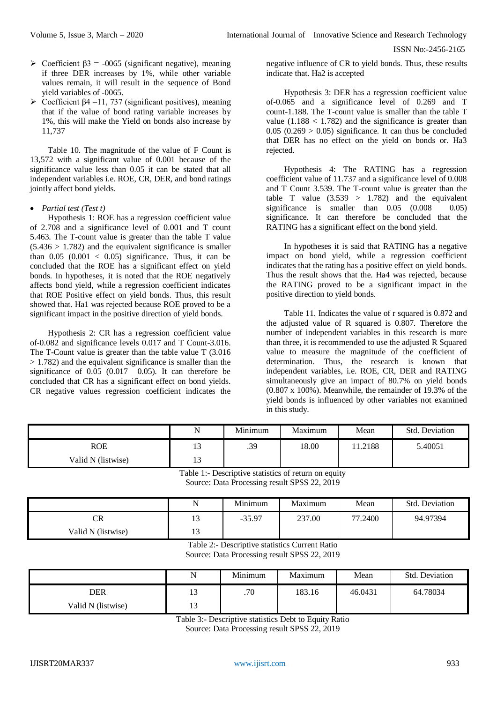- $\geq$  Coefficient  $\beta$ 3 = -0065 (significant negative), meaning if three DER increases by 1%, while other variable values remain, it will result in the sequence of Bond yield variables of -0065.
- $\triangleright$  Coefficient β4 =11, 737 (significant positives), meaning that if the value of bond rating variable increases by 1%, this will make the Yield on bonds also increase by 11,737

Table 10. The magnitude of the value of F Count is 13,572 with a significant value of 0.001 because of the significance value less than 0.05 it can be stated that all independent variables i.e. ROE, CR, DER, and bond ratings jointly affect bond yields.

## *Partial test (Test t)*

Hypothesis 1: ROE has a regression coefficient value of 2.708 and a significance level of 0.001 and T count 5.463. The T-count value is greater than the table T value  $(5.436 > 1.782)$  and the equivalent significance is smaller than  $0.05$   $(0.001 < 0.05)$  significance. Thus, it can be concluded that the ROE has a significant effect on yield bonds. In hypotheses, it is noted that the ROE negatively affects bond yield, while a regression coefficient indicates that ROE Positive effect on yield bonds. Thus, this result showed that. Ha1 was rejected because ROE proved to be a significant impact in the positive direction of yield bonds.

Hypothesis 2: CR has a regression coefficient value of-0.082 and significance levels 0.017 and T Count-3.016. The T-Count value is greater than the table value T (3.016 > 1.782) and the equivalent significance is smaller than the significance of  $0.05$  (0.017  $0.05$ ). It can therefore be concluded that CR has a significant effect on bond yields. CR negative values regression coefficient indicates the

negative influence of CR to yield bonds. Thus, these results indicate that. Ha2 is accepted

Hypothesis 3: DER has a regression coefficient value of-0.065 and a significance level of 0.269 and T count-1.188. The T-count value is smaller than the table T value  $(1.188 < 1.782)$  and the significance is greater than  $0.05$  ( $0.269 > 0.05$ ) significance. It can thus be concluded that DER has no effect on the yield on bonds or. Ha3 rejected.

Hypothesis 4: The RATING has a regression coefficient value of 11.737 and a significance level of 0.008 and T Count 3.539. The T-count value is greater than the table T value  $(3.539 > 1.782)$  and the equivalent significance is smaller than  $0.05$   $(0.008 \t 0.05)$ significance. It can therefore be concluded that the RATING has a significant effect on the bond yield.

In hypotheses it is said that RATING has a negative impact on bond yield, while a regression coefficient indicates that the rating has a positive effect on yield bonds. Thus the result shows that the. Ha4 was rejected, because the RATING proved to be a significant impact in the positive direction to yield bonds.

Table 11. Indicates the value of r squared is 0.872 and the adjusted value of R squared is 0.807. Therefore the number of independent variables in this research is more than three, it is recommended to use the adjusted R Squared value to measure the magnitude of the coefficient of determination. Thus, the research is known that independent variables, i.e. ROE, CR, DER and RATING simultaneously give an impact of 80.7% on yield bonds (0.807 x 100%). Meanwhile, the remainder of 19.3% of the yield bonds is influenced by other variables not examined in this study.

|                    | N                    | Minimum | Maximum | Mean   | Std. Deviation |
|--------------------|----------------------|---------|---------|--------|----------------|
| ROE                | 1 <sub>2</sub><br>IJ | .39     | 18.00   | 1.2188 | 5.40051        |
| Valid N (listwise) | 1 <sub>2</sub><br>IJ |         |         |        |                |

Table 1:- Descriptive statistics of return on equity Source: Data Processing result SPSS 22, 2019

|                        | N  | Minimum  | Maximum | Mean    | <b>Std. Deviation</b> |
|------------------------|----|----------|---------|---------|-----------------------|
| $\mathbb{C}\mathbb{R}$ | 13 | $-35.97$ | 237.00  | 77.2400 | 94.97394              |
| Valid N (listwise)     | 13 |          |         |         |                       |

Table 2:- Descriptive statistics Current Ratio Source: Data Processing result SPSS 22, 2019

|                    | N                     | Minimum | Maximum | Mean    | Std. Deviation |
|--------------------|-----------------------|---------|---------|---------|----------------|
| <b>DER</b>         | 1 <sub>2</sub><br>⊥ J | .70     | 183.16  | 46.0431 | 64.78034       |
| Valid N (listwise) | 1 <sub>2</sub>        |         |         |         |                |

Table 3:- Descriptive statistics Debt to Equity Ratio

Source: Data Processing result SPSS 22, 2019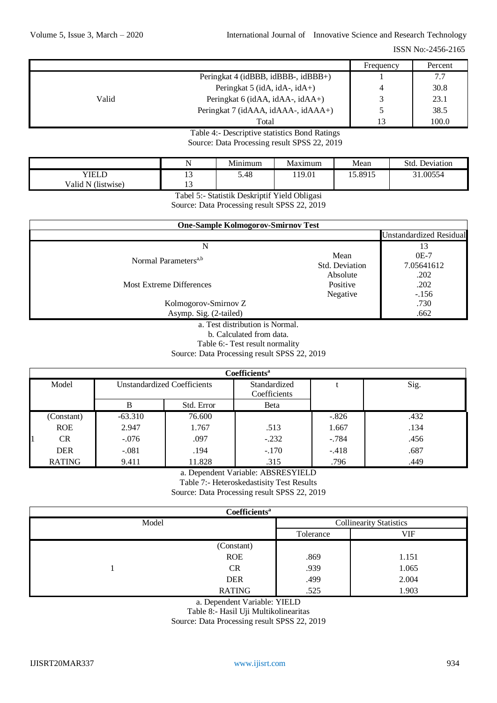|       |                                     | Frequency      | Percent |
|-------|-------------------------------------|----------------|---------|
|       | Peringkat 4 (idBBB, idBBB-, idBBB+) |                | 7.7     |
|       | Peringkat 5 (idA, idA-, idA+)       | $\overline{4}$ | 30.8    |
| Valid | Peringkat 6 (idAA, idAA-, idAA+)    |                | 23.1    |
|       | Peringkat 7 (idAAA, idAAA-, idAAA+) |                | 38.5    |
|       | Total                               | 13             | 100.0   |

Table 4:- Descriptive statistics Bond Ratings Source: Data Processing result SPSS 22, 2019

|                       |     | $\mathbf{r}$<br>Minimum | Maximum | Mean    | Stc<br>Deviation |
|-----------------------|-----|-------------------------|---------|---------|------------------|
| <b>YIELT</b>          | . . | 5.48                    | 119.01  | 15.8915 | .00554           |
| Valid N<br>(listwise) | . . |                         |         |         |                  |

Tabel 5:- Statistik Deskriptif Yield Obligasi

Source: Data Processing result SPSS 22, 2019

| <b>One-Sample Kolmogorov-Smirnov Test</b> |                |                                |  |  |  |
|-------------------------------------------|----------------|--------------------------------|--|--|--|
|                                           |                | <b>Unstandardized Residual</b> |  |  |  |
| N                                         |                |                                |  |  |  |
| Normal Parameters <sup>a,b</sup>          | Mean           | $0E-7$                         |  |  |  |
|                                           | Std. Deviation | 7.05641612                     |  |  |  |
|                                           | Absolute       | .202                           |  |  |  |
| <b>Most Extreme Differences</b>           | Positive       | .202                           |  |  |  |
|                                           | Negative       | $-.156$                        |  |  |  |
| Kolmogorov-Smirnov Z                      |                | .730                           |  |  |  |
| Asymp. Sig. (2-tailed)                    |                | .662                           |  |  |  |

a. Test distribution is Normal.

b. Calculated from data.

Table 6:- Test result normality

Source: Data Processing result SPSS 22, 2019

| Coefficients <sup>a</sup> |                                                    |            |         |         |              |  |      |  |
|---------------------------|----------------------------------------------------|------------|---------|---------|--------------|--|------|--|
| Model                     | <b>Unstandardized Coefficients</b><br>Coefficients |            |         |         | Standardized |  | Sig. |  |
|                           | В                                                  | Std. Error | Beta    |         |              |  |      |  |
| (Constant)                | $-63.310$                                          | 76.600     |         | $-.826$ | .432         |  |      |  |
| <b>ROE</b>                | 2.947                                              | 1.767      | .513    | 1.667   | .134         |  |      |  |
| <b>CR</b>                 | $-.076$                                            | .097       | $-.232$ | $-.784$ | .456         |  |      |  |
| <b>DER</b>                | $-.081$                                            | .194       | $-.170$ | $-.418$ | .687         |  |      |  |
| <b>RATING</b>             | 9.411                                              | 11.828     | .315    | .796    | .449         |  |      |  |

a. Dependent Variable: ABSRESYIELD

Table 7:- Heteroskedastisity Test Results

Source: Data Processing result SPSS 22, 2019

| Coefficients <sup>a</sup> |                                |           |       |  |  |  |
|---------------------------|--------------------------------|-----------|-------|--|--|--|
| Model                     | <b>Collinearity Statistics</b> |           |       |  |  |  |
|                           |                                | Tolerance | VIF   |  |  |  |
|                           | (Constant)                     |           |       |  |  |  |
|                           | <b>ROE</b>                     | .869      | 1.151 |  |  |  |
|                           | <b>CR</b>                      | .939      | 1.065 |  |  |  |
|                           | <b>DER</b>                     | .499      | 2.004 |  |  |  |
|                           | <b>RATING</b>                  | .525      | 1.903 |  |  |  |

a. Dependent Variable: YIELD

Table 8:- Hasil Uji Multikolinearitas

Source: Data Processing result SPSS 22, 2019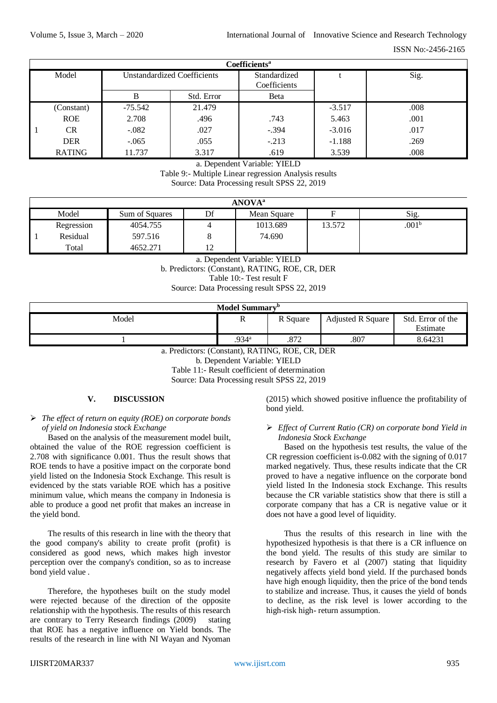| Coefficients <sup>a</sup> |           |                             |         |          |      |  |  |  |
|---------------------------|-----------|-----------------------------|---------|----------|------|--|--|--|
| Model                     |           | Unstandardized Coefficients |         |          | Sig. |  |  |  |
|                           | B         | Std. Error                  | Beta    |          |      |  |  |  |
| (Constant)                | $-75.542$ | 21.479                      |         | $-3.517$ | .008 |  |  |  |
| <b>ROE</b>                | 2.708     | .496                        | .743    | 5.463    | .001 |  |  |  |
| <b>CR</b>                 | $-.082$   | .027                        | $-.394$ | $-3.016$ | .017 |  |  |  |
| <b>DER</b>                | $-.065$   | .055                        | $-.213$ | $-1.188$ | .269 |  |  |  |
| <b>RATING</b>             | 11.737    | 3.317                       | .619    | 3.539    | .008 |  |  |  |

a. Dependent Variable: YIELD

Table 9:- Multiple Linear regression Analysis results

Source: Data Processing result SPSS 22, 2019

| <b>ANOVA<sup>a</sup></b> |                |  |             |        |                   |  |  |  |
|--------------------------|----------------|--|-------------|--------|-------------------|--|--|--|
| Model                    | Sum of Squares |  | Mean Square | F      | Sig.              |  |  |  |
| Regression               | 4054.755       |  | 1013.689    | 13.572 | .001 <sup>b</sup> |  |  |  |
| Residual                 | 597.516        |  | 74.690      |        |                   |  |  |  |
| Total                    | 4652.271       |  |             |        |                   |  |  |  |

a. Dependent Variable: YIELD b. Predictors: (Constant), RATING, ROE, CR, DER Table 10:- Test result F Source: Data Processing result SPSS 22, 2019

| Model Summary <sup>b</sup> |                   |          |                          |                               |  |  |
|----------------------------|-------------------|----------|--------------------------|-------------------------------|--|--|
| Model                      | n<br>ĸ            | R Square | <b>Adjusted R Square</b> | Std. Error of the<br>Estimate |  |  |
|                            | .934 <sup>a</sup> | .872     | .807                     | 8.64231                       |  |  |

a. Predictors: (Constant), RATING, ROE, CR, DER b. Dependent Variable: YIELD Table 11:- Result coefficient of determination Source: Data Processing result SPSS 22, 2019

# **V. DISCUSSION**

# *The effect of return on equity (ROE) on corporate bonds of yield on Indonesia stock Exchange*

Based on the analysis of the measurement model built, obtained the value of the ROE regression coefficient is 2.708 with significance 0.001. Thus the result shows that ROE tends to have a positive impact on the corporate bond yield listed on the Indonesia Stock Exchange. This result is evidenced by the stats variable ROE which has a positive minimum value, which means the company in Indonesia is able to produce a good net profit that makes an increase in the yield bond.

The results of this research in line with the theory that the good company's ability to create profit (profit) is considered as good news, which makes high investor perception over the company's condition, so as to increase bond yield value .

Therefore, the hypotheses built on the study model were rejected because of the direction of the opposite relationship with the hypothesis. The results of this research are contrary to Terry Research findings (2009) stating that ROE has a negative influence on Yield bonds. The results of the research in line with NI Wayan and Nyoman

(2015) which showed positive influence the profitability of bond yield.

## *Effect of Current Ratio (CR) on corporate bond Yield in Indonesia Stock Exchange*

Based on the hypothesis test results, the value of the CR regression coefficient is-0.082 with the signing of 0.017 marked negatively. Thus, these results indicate that the CR proved to have a negative influence on the corporate bond yield listed In the Indonesia stock Exchange. This results because the CR variable statistics show that there is still a corporate company that has a CR is negative value or it does not have a good level of liquidity.

Thus the results of this research in line with the hypothesized hypothesis is that there is a CR influence on the bond yield. The results of this study are similar to research by Favero et al (2007) stating that liquidity negatively affects yield bond yield. If the purchased bonds have high enough liquidity, then the price of the bond tends to stabilize and increase. Thus, it causes the yield of bonds to decline, as the risk level is lower according to the high-risk high- return assumption.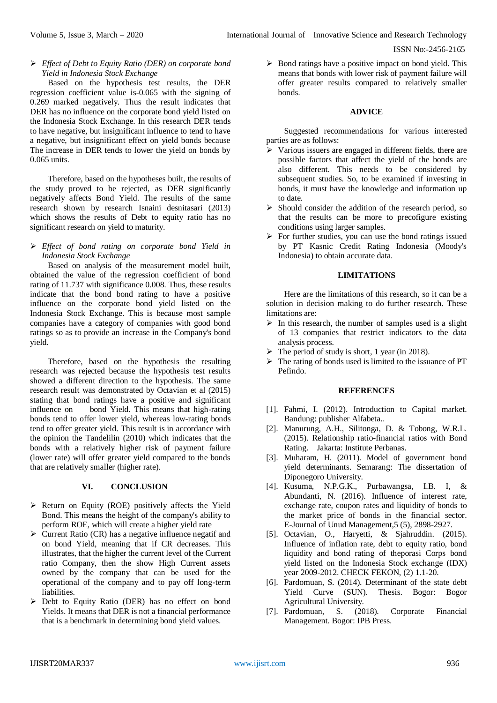*Effect of Debt to Equity Ratio (DER) on corporate bond Yield in Indonesia Stock Exchange*

Based on the hypothesis test results, the DER regression coefficient value is-0.065 with the signing of 0.269 marked negatively. Thus the result indicates that DER has no influence on the corporate bond yield listed on the Indonesia Stock Exchange. In this research DER tends to have negative, but insignificant influence to tend to have a negative, but insignificant effect on yield bonds because The increase in DER tends to lower the yield on bonds by 0.065 units.

Therefore, based on the hypotheses built, the results of the study proved to be rejected, as DER significantly negatively affects Bond Yield. The results of the same research shown by research Isnaini desnitasari (2013) which shows the results of Debt to equity ratio has no significant research on yield to maturity.

 *Effect of bond rating on corporate bond Yield in Indonesia Stock Exchange*

Based on analysis of the measurement model built, obtained the value of the regression coefficient of bond rating of 11.737 with significance 0.008. Thus, these results indicate that the bond bond rating to have a positive influence on the corporate bond yield listed on the Indonesia Stock Exchange. This is because most sample companies have a category of companies with good bond ratings so as to provide an increase in the Company's bond yield.

Therefore, based on the hypothesis the resulting research was rejected because the hypothesis test results showed a different direction to the hypothesis. The same research result was demonstrated by Octavian et al (2015) stating that bond ratings have a positive and significant influence on bond Yield. This means that high-rating bonds tend to offer lower yield, whereas low-rating bonds tend to offer greater yield. This result is in accordance with the opinion the Tandelilin (2010) which indicates that the bonds with a relatively higher risk of payment failure (lower rate) will offer greater yield compared to the bonds that are relatively smaller (higher rate).

### **VI. CONCLUSION**

- $\triangleright$  Return on Equity (ROE) positively affects the Yield Bond. This means the height of the company's ability to perform ROE, which will create a higher yield rate
- $\triangleright$  Current Ratio (CR) has a negative influence negatif and on bond Yield, meaning that if CR decreases. This illustrates, that the higher the current level of the Current ratio Company, then the show High Current assets owned by the company that can be used for the operational of the company and to pay off long-term liabilities.
- Debt to Equity Ratio (DER) has no effect on bond Yields. It means that DER is not a financial performance that is a benchmark in determining bond yield values.

 $\triangleright$  Bond ratings have a positive impact on bond yield. This means that bonds with lower risk of payment failure will offer greater results compared to relatively smaller bonds.

#### **ADVICE**

Suggested recommendations for various interested parties are as follows:

- $\triangleright$  Various issuers are engaged in different fields, there are possible factors that affect the yield of the bonds are also different. This needs to be considered by subsequent studies. So, to be examined if investing in bonds, it must have the knowledge and information up to date.
- $\triangleright$  Should consider the addition of the research period, so that the results can be more to precofigure existing conditions using larger samples.
- $\triangleright$  For further studies, you can use the bond ratings issued by PT Kasnic Credit Rating Indonesia (Moody's Indonesia) to obtain accurate data.

## **LIMITATIONS**

Here are the limitations of this research, so it can be a solution in decision making to do further research. These limitations are:

- $\triangleright$  In this research, the number of samples used is a slight of 13 companies that restrict indicators to the data analysis process.
- $\triangleright$  The period of study is short, 1 year (in 2018).
- $\triangleright$  The rating of bonds used is limited to the issuance of PT Pefindo.

#### **REFERENCES**

- [1]. Fahmi, I. (2012). Introduction to Capital market. Bandung: publisher Alfabeta..
- [2]. Manurung, A.H., Silitonga, D. & Tobong, W.R.L. (2015). Relationship ratio-financial ratios with Bond Rating. Jakarta: Institute Perbanas.
- [3]. Muharam, H. (2011). Model of government bond yield determinants. Semarang: The dissertation of Diponegoro University.
- [4]. Kusuma, N.P.G.K., Purbawangsa, I.B. I, & Abundanti, N. (2016). Influence of interest rate, exchange rate, coupon rates and liquidity of bonds to the market price of bonds in the financial sector. E-Journal of Unud Management,5 (5), 2898-2927.
- [5]. Octavian, O., Haryetti, & Sjahruddin. (2015). Influence of inflation rate, debt to equity ratio, bond liquidity and bond rating of theporasi Corps bond yield listed on the Indonesia Stock exchange (IDX) year 2009-2012. CHECK FEKON, (2) 1.1-20.
- [6]. Pardomuan, S. (2014). Determinant of the state debt Yield Curve (SUN). Thesis. Bogor: Bogor Agricultural University.
- [7]. Pardomuan, S. (2018). Corporate Financial Management. Bogor: IPB Press.